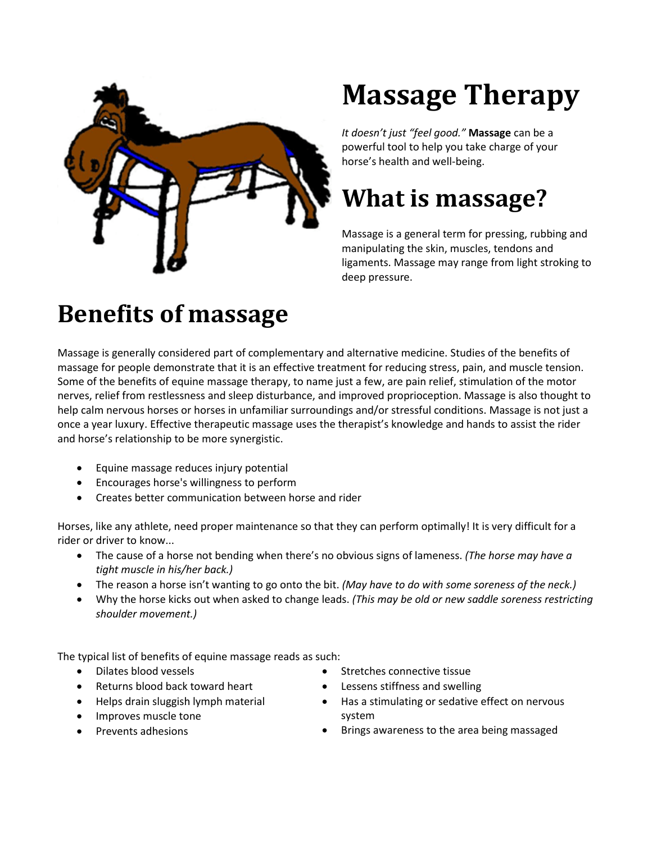

## **Massage Therapy**

*It doesn't just "feel good."* **Massage** can be a powerful tool to help you take charge of your horse's health and well-being.

## **What is massage?**

Massage is a general term for pressing, rubbing and manipulating the skin, muscles, tendons and ligaments. Massage may range from light stroking to deep pressure.

## **Benefits of massage**

Massage is generally considered part of complementary and alternative medicine. Studies of the benefits of massage for people demonstrate that it is an effective treatment for reducing stress, pain, and muscle tension. Some of the benefits of equine massage therapy, to name just a few, are pain relief, stimulation of the motor nerves, relief from restlessness and sleep disturbance, and improved proprioception. Massage is also thought to help calm nervous horses or horses in unfamiliar surroundings and/or stressful conditions. Massage is not just a once a year luxury. Effective therapeutic massage uses the therapist's knowledge and hands to assist the rider and horse's relationship to be more synergistic.

- Equine massage reduces injury potential
- Encourages horse's willingness to perform
- Creates better communication between horse and rider

Horses, like any athlete, need proper maintenance so that they can perform optimally! It is very difficult for a rider or driver to know...

- The cause of a horse not bending when there's no obvious signs of lameness. *(The horse may have a tight muscle in his/her back.)*
- The reason a horse isn't wanting to go onto the bit. *(May have to do with some soreness of the neck.)*
- Why the horse kicks out when asked to change leads. *(This may be old or new saddle soreness restricting shoulder movement.)*

The typical list of benefits of equine massage reads as such:

- Dilates blood vessels
- Returns blood back toward heart
- Helps drain sluggish lymph material
- Improves muscle tone
- Prevents adhesions
- Stretches connective tissue
- Lessens stiffness and swelling
- Has a stimulating or sedative effect on nervous system
- Brings awareness to the area being massaged